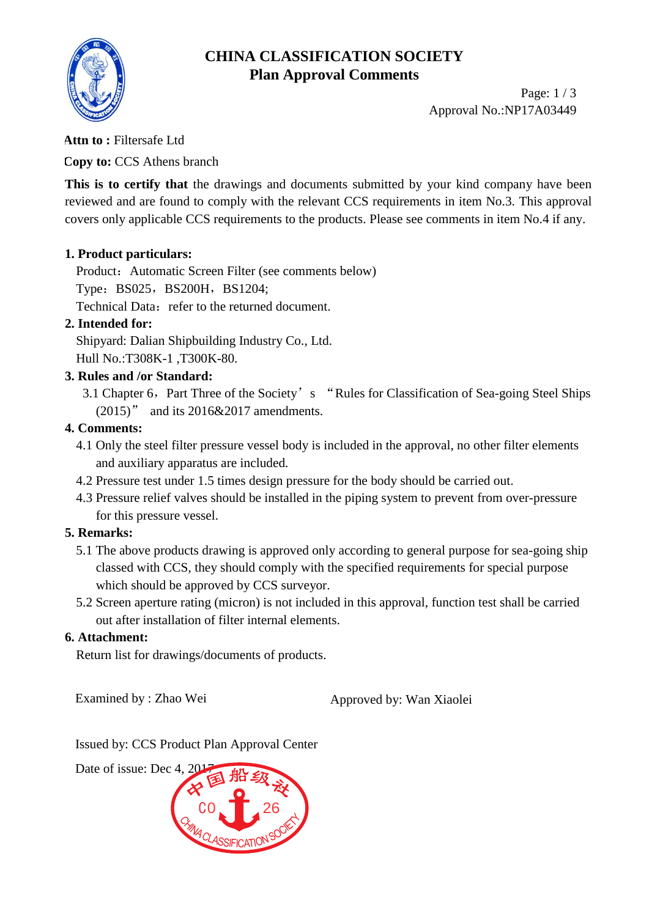

## **CHINA CLASSIFICATION SOCIETY Plan Approval Comments**

Page: 1 / 3 Approval No.:NP17A03449

#### **Attn to :** Filtersafe Ltd

**Copy to:** CCS Athens branch

**This is to certify that** the drawings and documents submitted by your kind company have been reviewed and are found to comply with the relevant CCS requirements in item No.3. This approval covers only applicable CCS requirements to the products. Please see comments in item No.4 if any.

#### **1. Product particulars:**

Product: Automatic Screen Filter (see comments below) Type: BS025, BS200H, BS1204; Technical Data: refer to the returned document.

## **2. Intended for:**

Shipyard: Dalian Shipbuilding Industry Co., Ltd. Hull No.:T308K-1 ,T300K-80.

#### **3. Rules and /or Standard:**

3.1 Chapter 6, Part Three of the Society's "Rules for Classification of Sea-going Steel Ships (2015)" and its 2016&2017 amendments.

#### **4. Comments:**

- 4.1 Only the steel filter pressure vessel body is included in the approval, no other filter elements and auxiliary apparatus are included.
- 4.2 Pressure test under 1.5 times design pressure for the body should be carried out.
- 4.3 Pressure relief valves should be installed in the piping system to prevent from over-pressure for this pressure vessel.

## **5. Remarks:**

- 5.1 The above products drawing is approved only according to general purpose for sea-going ship classed with CCS, they should comply with the specified requirements for special purpose which should be approved by CCS surveyor.
- 5.2 Screen aperture rating (micron) is not included in this approval, function test shall be carried out after installation of filter internal elements.

#### **6. Attachment:**

Return list for drawings/documents of products.

Examined by : Zhao Wei Approved by: Wan Xiaolei

Issued by: CCS Product Plan Approval Center

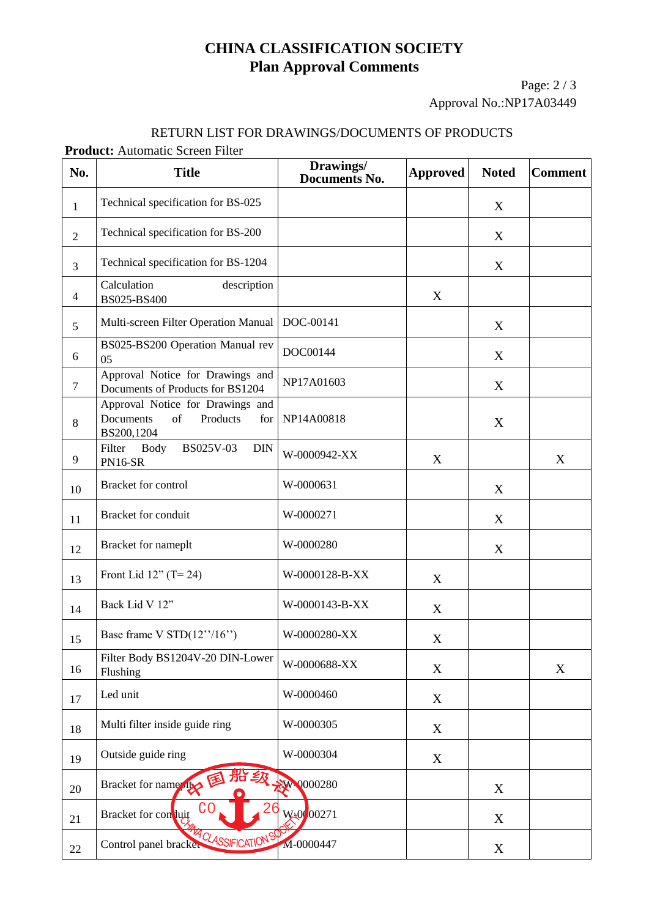# **CHINA CLASSIFICATION SOCIETY Plan Approval Comments**

Page: 2 / 3 Approval No.:NP17A03449

#### RETURN LIST FOR DRAWINGS/DOCUMENTS OF PRODUCTS

#### **Product:** Automatic Screen Filter

| No.            | act: Tratomatic Derech I fitch<br><b>Title</b>                                       | Drawings/<br><b>Documents No.</b> | <b>Approved</b> | <b>Noted</b> | <b>Comment</b> |
|----------------|--------------------------------------------------------------------------------------|-----------------------------------|-----------------|--------------|----------------|
| $\mathbf{1}$   | Technical specification for BS-025                                                   |                                   |                 | X            |                |
| $\overline{2}$ | Technical specification for BS-200                                                   |                                   |                 | X            |                |
| $\overline{3}$ | Technical specification for BS-1204                                                  |                                   |                 | X            |                |
| $\overline{4}$ | Calculation<br>description<br>BS025-BS400                                            |                                   | X               |              |                |
| 5              | Multi-screen Filter Operation Manual                                                 | DOC-00141                         |                 | X            |                |
| 6              | BS025-BS200 Operation Manual rev<br>05                                               | DOC00144                          |                 | X            |                |
| $\tau$         | Approval Notice for Drawings and<br>Documents of Products for BS1204                 | NP17A01603                        |                 | X            |                |
| 8              | Approval Notice for Drawings and<br>Documents<br>of<br>Products<br>for<br>BS200,1204 | NP14A00818                        |                 | X            |                |
| 9              | BS025V-03<br>Filter Body<br><b>DIN</b><br><b>PN16-SR</b>                             | W-0000942-XX                      | X               |              | X              |
| 10             | Bracket for control                                                                  | W-0000631                         |                 | X            |                |
| 11             | Bracket for conduit                                                                  | W-0000271                         |                 | X            |                |
| 12             | Bracket for nameplt                                                                  | W-0000280                         |                 | X            |                |
| 13             | Front Lid $12"$ (T= 24)                                                              | W-0000128-B-XX                    | X               |              |                |
| 14             | Back Lid V 12"                                                                       | W-0000143-B-XX                    | X               |              |                |
| 15             | Base frame V $STD(12^{\prime\prime}/16^{\prime\prime})$                              | W-0000280-XX                      | X               |              |                |
| 16             | Filter Body BS1204V-20 DIN-Lower<br>Flushing                                         | W-0000688-XX                      | X               |              | $\mathbf X$    |
| 17             | Led unit                                                                             | W-0000460                         | X               |              |                |
| 18             | Multi filter inside guide ring                                                       | W-0000305                         | X               |              |                |
| 19             | Outside guide ring                                                                   | W-0000304                         | X               |              |                |
| 20             | 船级<br>国<br>Bracket for name                                                          | W 0000280                         |                 | X            |                |
| 21             | Bracket for conluit                                                                  | W <sub>40</sub> 00271             |                 | X            |                |
| 22             | <b>MA OLASSIFICATIONS</b><br>Control panel bracket                                   | M-0000447                         |                 | X            |                |